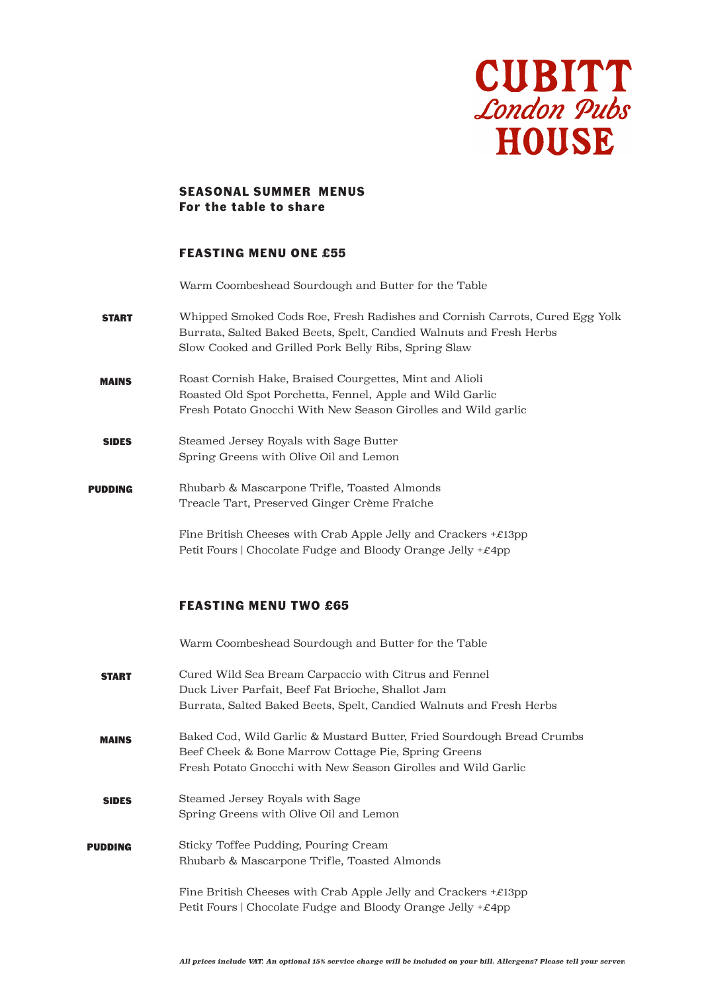

#### **SEASONAL SUMMER MENUS For the table to share**

## **FEASTING MENU ONE £55**

Warm Coombeshead Sourdough and Butter for the Table

- START Whipped Smoked Cods Roe, Fresh Radishes and Cornish Carrots, Cured Egg Yolk Burrata, Salted Baked Beets, Spelt, Candied Walnuts and Fresh Herbs Slow Cooked and Grilled Pork Belly Ribs, Spring Slaw
- MAINS Roast Cornish Hake, Braised Courgettes, Mint and Alioli Roasted Old Spot Porchetta, Fennel, Apple and Wild Garlic Fresh Potato Gnocchi With New Season Girolles and Wild garlic
- SIDES Steamed Jersey Royals with Sage Butter Spring Greens with Olive Oil and Lemon
- PUDDING Rhubarb & Mascarpone Trifle, Toasted Almonds Treacle Tart, Preserved Ginger Crème Fraîche

Fine British Cheeses with Crab Apple Jelly and Crackers  $+£13$ pp Petit Fours | Chocolate Fudge and Bloody Orange Jelly +£4pp

## **FEASTING MENU TWO £65**

Warm Coombeshead Sourdough and Butter for the Table

- **START** Cured Wild Sea Bream Carpaccio with Citrus and Fennel Duck Liver Parfait, Beef Fat Brioche, Shallot Jam Burrata, Salted Baked Beets, Spelt, Candied Walnuts and Fresh Herbs
- MAINS Baked Cod, Wild Garlic & Mustard Butter, Fried Sourdough Bread Crumbs Beef Cheek & Bone Marrow Cottage Pie, Spring Greens Fresh Potato Gnocchi with New Season Girolles and Wild Garlic
- SIDES Steamed Jersey Royals with Sage Spring Greens with Olive Oil and Lemon
- PUDDING Sticky Toffee Pudding, Pouring Cream Rhubarb & Mascarpone Trifle, Toasted Almonds
	- Fine British Cheeses with Crab Apple Jelly and Crackers  $+\mathcal{E}13pp$ Petit Fours | Chocolate Fudge and Bloody Orange Jelly +£4pp